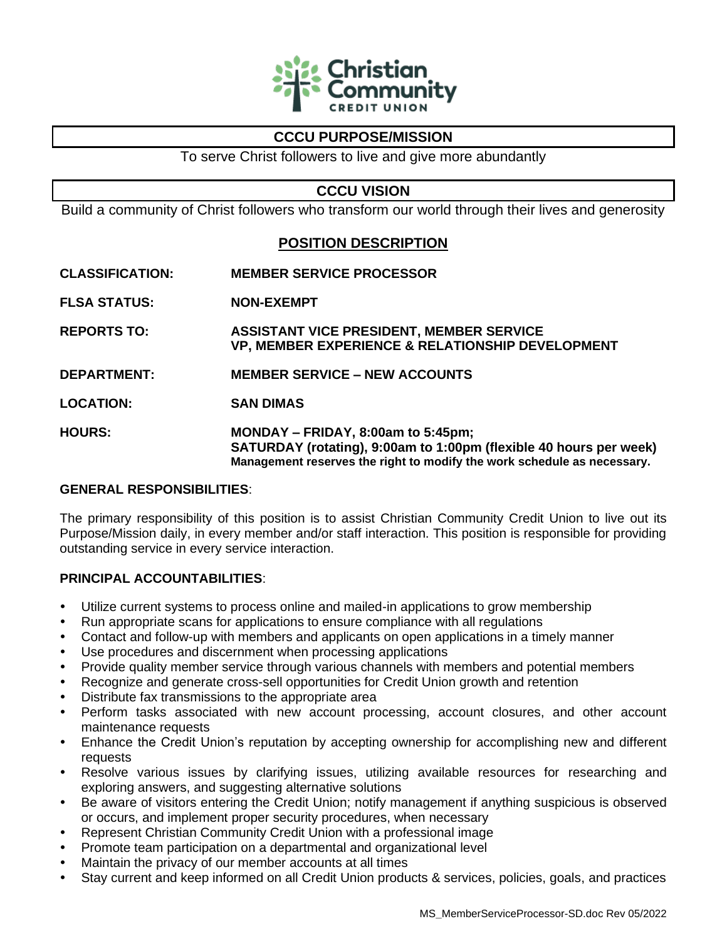

# **CCCU PURPOSE/MISSION**

To serve Christ followers to live and give more abundantly

## **CCCU VISION**

Build a community of Christ followers who transform our world through their lives and generosity

# **POSITION DESCRIPTION**

- **CLASSIFICATION: MEMBER SERVICE PROCESSOR**
- **FLSA STATUS: NON-EXEMPT**
- **REPORTS TO: ASSISTANT VICE PRESIDENT, MEMBER SERVICE VP, MEMBER EXPERIENCE & RELATIONSHIP DEVELOPMENT**
- **DEPARTMENT: MEMBER SERVICE – NEW ACCOUNTS**
- **LOCATION: SAN DIMAS**
- **HOURS: MONDAY – FRIDAY, 8:00am to 5:45pm; SATURDAY (rotating), 9:00am to 1:00pm (flexible 40 hours per week) Management reserves the right to modify the work schedule as necessary.**

### **GENERAL RESPONSIBILITIES**:

The primary responsibility of this position is to assist Christian Community Credit Union to live out its Purpose/Mission daily, in every member and/or staff interaction. This position is responsible for providing outstanding service in every service interaction.

### **PRINCIPAL ACCOUNTABILITIES**:

- Utilize current systems to process online and mailed-in applications to grow membership
- Run appropriate scans for applications to ensure compliance with all regulations
- Contact and follow-up with members and applicants on open applications in a timely manner
- Use procedures and discernment when processing applications
- Provide quality member service through various channels with members and potential members
- Recognize and generate cross-sell opportunities for Credit Union growth and retention
- Distribute fax transmissions to the appropriate area
- Perform tasks associated with new account processing, account closures, and other account maintenance requests
- Enhance the Credit Union's reputation by accepting ownership for accomplishing new and different requests
- Resolve various issues by clarifying issues, utilizing available resources for researching and exploring answers, and suggesting alternative solutions
- Be aware of visitors entering the Credit Union; notify management if anything suspicious is observed or occurs, and implement proper security procedures, when necessary
- Represent Christian Community Credit Union with a professional image
- Promote team participation on a departmental and organizational level
- Maintain the privacy of our member accounts at all times
- Stay current and keep informed on all Credit Union products & services, policies, goals, and practices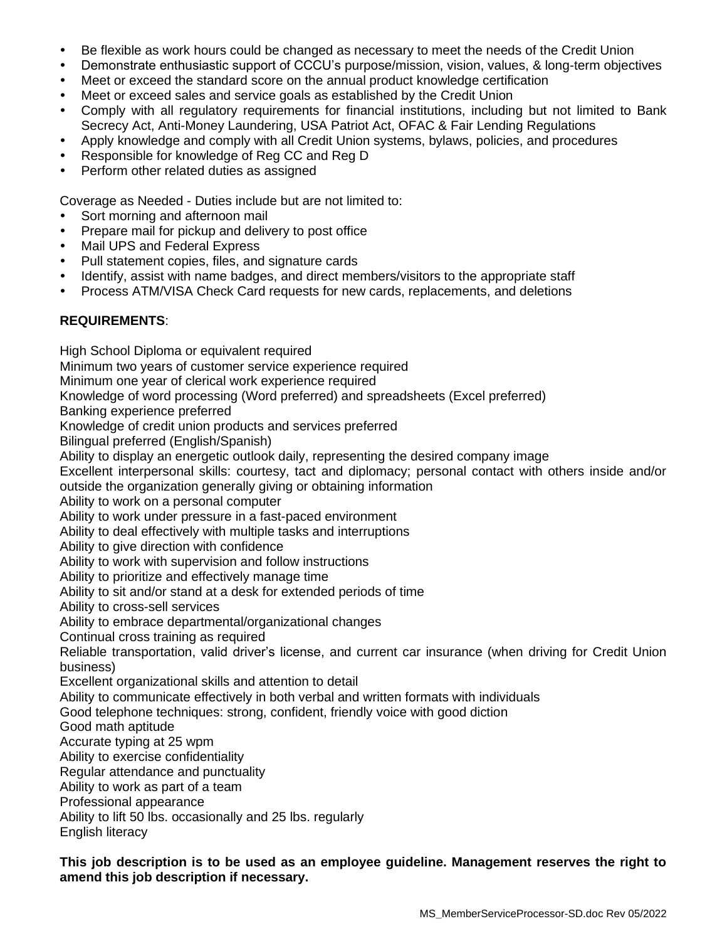- Be flexible as work hours could be changed as necessary to meet the needs of the Credit Union
- Demonstrate enthusiastic support of CCCU's purpose/mission, vision, values, & long-term objectives
- Meet or exceed the standard score on the annual product knowledge certification
- Meet or exceed sales and service goals as established by the Credit Union
- Comply with all regulatory requirements for financial institutions, including but not limited to Bank Secrecy Act, Anti-Money Laundering, USA Patriot Act, OFAC & Fair Lending Regulations
- Apply knowledge and comply with all Credit Union systems, bylaws, policies, and procedures
- Responsible for knowledge of Reg CC and Reg D
- Perform other related duties as assigned

Coverage as Needed - Duties include but are not limited to:

- Sort morning and afternoon mail
- Prepare mail for pickup and delivery to post office
- Mail UPS and Federal Express
- Pull statement copies, files, and signature cards
- Identify, assist with name badges, and direct members/visitors to the appropriate staff
- Process ATM/VISA Check Card requests for new cards, replacements, and deletions

### **REQUIREMENTS**:

High School Diploma or equivalent required Minimum two years of customer service experience required Minimum one year of clerical work experience required Knowledge of word processing (Word preferred) and spreadsheets (Excel preferred) Banking experience preferred Knowledge of credit union products and services preferred Bilingual preferred (English/Spanish) Ability to display an energetic outlook daily, representing the desired company image Excellent interpersonal skills: courtesy, tact and diplomacy; personal contact with others inside and/or outside the organization generally giving or obtaining information Ability to work on a personal computer Ability to work under pressure in a fast-paced environment Ability to deal effectively with multiple tasks and interruptions Ability to give direction with confidence Ability to work with supervision and follow instructions Ability to prioritize and effectively manage time Ability to sit and/or stand at a desk for extended periods of time Ability to cross-sell services Ability to embrace departmental/organizational changes Continual cross training as required Reliable transportation, valid driver's license, and current car insurance (when driving for Credit Union business) Excellent organizational skills and attention to detail Ability to communicate effectively in both verbal and written formats with individuals Good telephone techniques: strong, confident, friendly voice with good diction Good math aptitude Accurate typing at 25 wpm Ability to exercise confidentiality Regular attendance and punctuality Ability to work as part of a team Professional appearance Ability to lift 50 lbs. occasionally and 25 lbs. regularly English literacy

**This job description is to be used as an employee guideline. Management reserves the right to amend this job description if necessary.**